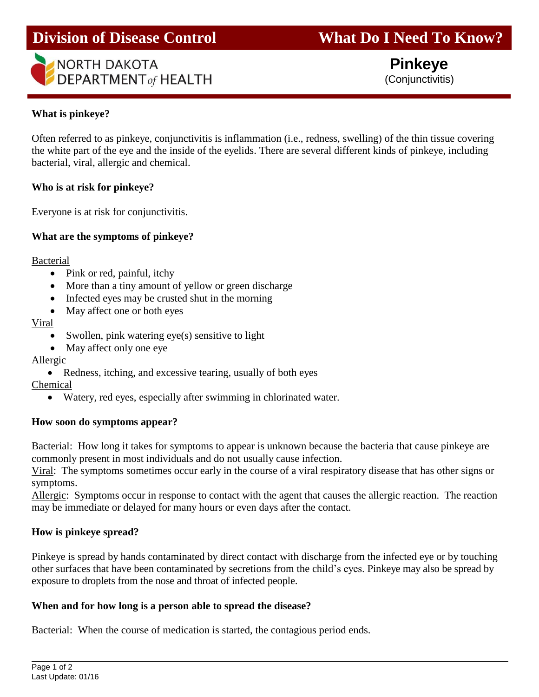# **Division of Disease Control What Do I Need To Know?**



 **Pinkeye** (Conjunctivitis)

### **What is pinkeye?**

Ī

Often referred to as pinkeye, conjunctivitis is inflammation (i.e., redness, swelling) of the thin tissue covering the white part of the eye and the inside of the eyelids. There are several different kinds of pinkeye, including bacterial, viral, allergic and chemical.

#### **Who is at risk for pinkeye?**

Everyone is at risk for conjunctivitis.

## **What are the symptoms of pinkeye?**

Bacterial

- Pink or red, painful, itchy
- More than a tiny amount of yellow or green discharge
- Infected eyes may be crusted shut in the morning
- May affect one or both eyes

#### Viral

- Swollen, pink watering eye(s) sensitive to light
- May affect only one eye

## Allergic

• Redness, itching, and excessive tearing, usually of both eyes Chemical

Watery, red eyes, especially after swimming in chlorinated water.

#### **How soon do symptoms appear?**

Bacterial: How long it takes for symptoms to appear is unknown because the bacteria that cause pinkeye are commonly present in most individuals and do not usually cause infection.

Viral: The symptoms sometimes occur early in the course of a viral respiratory disease that has other signs or symptoms.

Allergic: Symptoms occur in response to contact with the agent that causes the allergic reaction. The reaction may be immediate or delayed for many hours or even days after the contact.

## **How is pinkeye spread?**

Pinkeye is spread by hands contaminated by direct contact with discharge from the infected eye or by touching other surfaces that have been contaminated by secretions from the child's eyes. Pinkeye may also be spread by exposure to droplets from the nose and throat of infected people.

#### **When and for how long is a person able to spread the disease?**

Bacterial: When the course of medication is started, the contagious period ends.